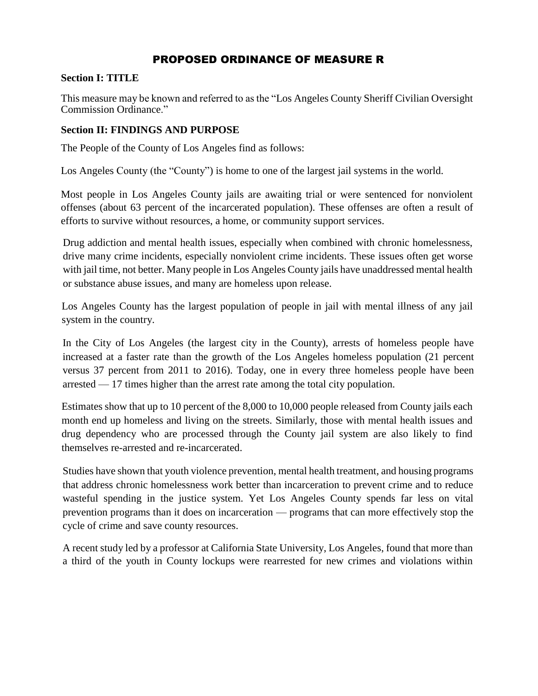# PROPOSED ORDINANCE OF MEASURE R

### **Section I: TITLE**

This measure may be known and referred to as the "Los Angeles County Sheriff Civilian Oversight Commission Ordinance."

## **Section II: FINDINGS AND PURPOSE**

The People of the County of Los Angeles find as follows:

Los Angeles County (the "County") is home to one of the largest jail systems in the world.

Most people in Los Angeles County jails are awaiting trial or were sentenced for nonviolent offenses (about 63 percent of the incarcerated population). These offenses are often a result of efforts to survive without resources, a home, or community support services.

Drug addiction and mental health issues, especially when combined with chronic homelessness, drive many crime incidents, especially nonviolent crime incidents. These issues often get worse with jail time, not better. Many people in Los Angeles County jails have unaddressed mental health or substance abuse issues, and many are homeless upon release.

Los Angeles County has the largest population of people in jail with mental illness of any jail system in the country.

In the City of Los Angeles (the largest city in the County), arrests of homeless people have increased at a faster rate than the growth of the Los Angeles homeless population (21 percent versus 37 percent from 2011 to 2016). Today, one in every three homeless people have been arrested — 17 times higher than the arrest rate among the total city population.

Estimates show that up to 10 percent of the 8,000 to 10,000 people released from County jails each month end up homeless and living on the streets. Similarly, those with mental health issues and drug dependency who are processed through the County jail system are also likely to find themselves re-arrested and re-incarcerated.

Studies have shown that youth violence prevention, mental health treatment, and housing programs that address chronic homelessness work better than incarceration to prevent crime and to reduce wasteful spending in the justice system. Yet Los Angeles County spends far less on vital prevention programs than it does on incarceration — programs that can more effectively stop the cycle of crime and save county resources.

A recent study led by a professor at California State University, Los Angeles, found that more than a third of the youth in County lockups were rearrested for new crimes and violations within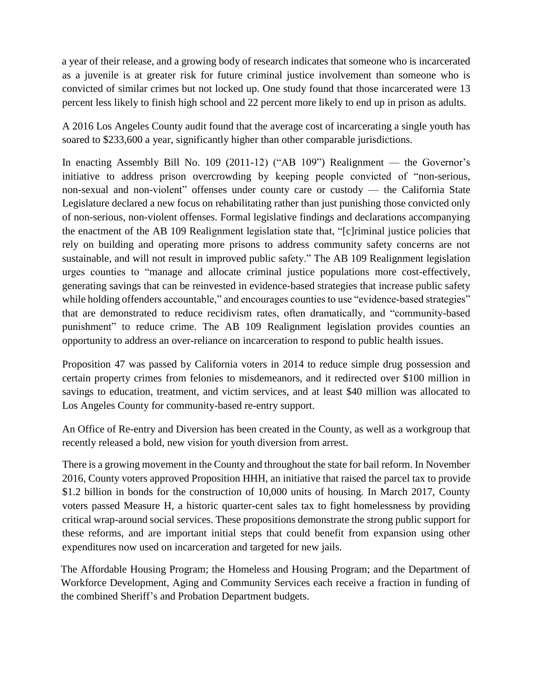a year of their release, and a growing body of research indicates that someone who is incarcerated as a juvenile is at greater risk for future criminal justice involvement than someone who is convicted of similar crimes but not locked up. One study found that those incarcerated were 13 percent less likely to finish high school and 22 percent more likely to end up in prison as adults.

A 2016 Los Angeles County audit found that the average cost of incarcerating a single youth has soared to \$233,600 a year, significantly higher than other comparable jurisdictions.

In enacting Assembly Bill No. 109 (2011-12) ("AB 109") Realignment — the Governor's initiative to address prison overcrowding by keeping people convicted of "non-serious, non-sexual and non-violent" offenses under county care or custody — the California State Legislature declared a new focus on rehabilitating rather than just punishing those convicted only of non-serious, non-violent offenses. Formal legislative findings and declarations accompanying the enactment of the AB 109 Realignment legislation state that, "[c]riminal justice policies that rely on building and operating more prisons to address community safety concerns are not sustainable, and will not result in improved public safety." The AB 109 Realignment legislation urges counties to "manage and allocate criminal justice populations more cost-effectively, generating savings that can be reinvested in evidence-based strategies that increase public safety while holding offenders accountable," and encourages counties to use "evidence-based strategies" that are demonstrated to reduce recidivism rates, often dramatically, and "community-based punishment" to reduce crime. The AB 109 Realignment legislation provides counties an opportunity to address an over-reliance on incarceration to respond to public health issues.

Proposition 47 was passed by California voters in 2014 to reduce simple drug possession and certain property crimes from felonies to misdemeanors, and it redirected over \$100 million in savings to education, treatment, and victim services, and at least \$40 million was allocated to Los Angeles County for community-based re-entry support.

An Office of Re-entry and Diversion has been created in the County, as well as a workgroup that recently released a bold, new vision for youth diversion from arrest.

There is a growing movement in the County and throughout the state for bail reform. In November 2016, County voters approved Proposition HHH, an initiative that raised the parcel tax to provide \$1.2 billion in bonds for the construction of 10,000 units of housing. In March 2017, County voters passed Measure H, a historic quarter-cent sales tax to fight homelessness by providing critical wrap-around social services. These propositions demonstrate the strong public support for these reforms, and are important initial steps that could benefit from expansion using other expenditures now used on incarceration and targeted for new jails.

The Affordable Housing Program; the Homeless and Housing Program; and the Department of Workforce Development, Aging and Community Services each receive a fraction in funding of the combined Sheriff's and Probation Department budgets.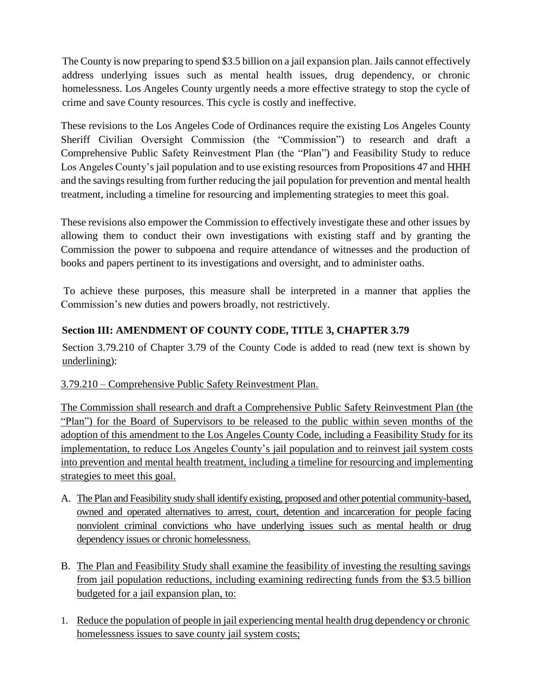The County is now preparing to spend \$3.5 billion on a jail expansion plan. Jails cannot effectively address underlying issues such as mental health issues, drug dependency, or chronic homelessness. Los Angeles County urgently needs a more effective strategy to stop the cycle of crime and save County resources. This cycle is costly and ineffective.

These revisions to the Los Angeles Code of Ordinances require the existing Los Angeles County Sheriff Civilian Oversight Commission (the "Commission") to research and draft a Comprehensive Public Safety Reinvestment Plan (the "Plan") and Feasibility Study to reduce Los Angeles County's jail population and to use existing resources from Propositions 47 and HHH and the savings resulting from further reducing the jail population for prevention and mental health treatment, including a timeline for resourcing and implementing strategies to meet this goal.

These revisions also empower the Commission to effectively investigate these and other issues by allowing them to conduct their own investigations with existing staff and by granting the Commission the power to subpoena and require attendance of witnesses and the production of books and papers pertinent to its investigations and oversight, and to administer oaths.

To achieve these purposes, this measure shall be interpreted in a manner that applies the Commission's new duties and powers broadly, not restrictively.

# **Section III: AMENDMENT OF COUNTY CODE, TITLE 3, CHAPTER 3.79**

Section 3.79.210 of Chapter 3.79 of the County Code is added to read (new text is shown by underlining):

# 3.79.210 – Comprehensive Public Safety Reinvestment Plan.

The Commission shall research and draft a Comprehensive Public Safety Reinvestment Plan (the "Plan") for the Board of Supervisors to be released to the public within seven months of the adoption of this amendment to the Los Angeles County Code, including a Feasibility Study for its implementation, to reduce Los Angeles County's jail population and to reinvest jail system costs into prevention and mental health treatment, including a timeline for resourcing and implementing strategies to meet this goal.

- A. The Plan and Feasibility study shall identify existing, proposed and other potential community-based, owned and operated alternatives to arrest, court, detention and incarceration for people facing nonviolent criminal convictions who have underlying issues such as mental health or drug dependency issues or chronic homelessness.
- B. The Plan and Feasibility Study shall examine the feasibility of investing the resulting savings from jail population reductions, including examining redirecting funds from the \$3.5 billion budgeted for a jail expansion plan, to:
- 1. Reduce the population of people in jail experiencing mental health drug dependency or chronic homelessness issues to save county jail system costs;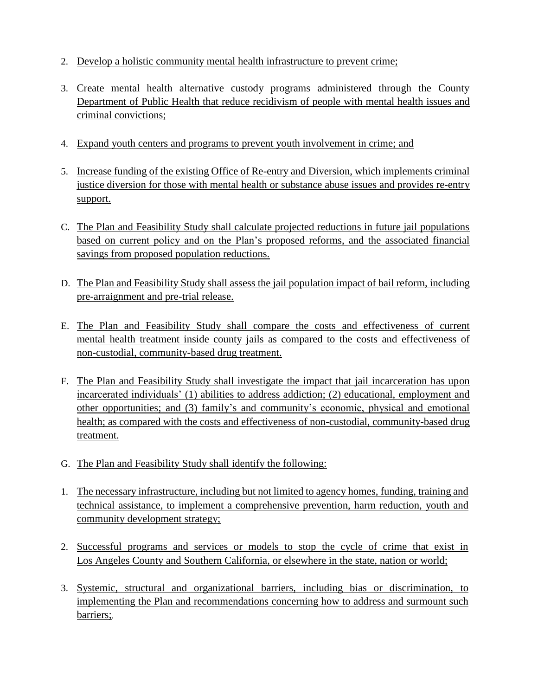- 2. Develop a holistic community mental health infrastructure to prevent crime;
- 3. Create mental health alternative custody programs administered through the County Department of Public Health that reduce recidivism of people with mental health issues and criminal convictions;
- 4. Expand youth centers and programs to prevent youth involvement in crime; and
- 5. Increase funding of the existing Office of Re-entry and Diversion, which implements criminal justice diversion for those with mental health or substance abuse issues and provides re-entry support.
- C. The Plan and Feasibility Study shall calculate projected reductions in future jail populations based on current policy and on the Plan's proposed reforms, and the associated financial savings from proposed population reductions.
- D. The Plan and Feasibility Study shall assess the jail population impact of bail reform, including pre-arraignment and pre-trial release.
- E. The Plan and Feasibility Study shall compare the costs and effectiveness of current mental health treatment inside county jails as compared to the costs and effectiveness of non-custodial, community-based drug treatment.
- F. The Plan and Feasibility Study shall investigate the impact that jail incarceration has upon incarcerated individuals' (1) abilities to address addiction; (2) educational, employment and other opportunities; and (3) family's and community's economic, physical and emotional health; as compared with the costs and effectiveness of non-custodial, community-based drug treatment.
- G. The Plan and Feasibility Study shall identify the following:
- 1. The necessary infrastructure, including but not limited to agency homes, funding, training and technical assistance, to implement a comprehensive prevention, harm reduction, youth and community development strategy;
- 2. Successful programs and services or models to stop the cycle of crime that exist in Los Angeles County and Southern California, or elsewhere in the state, nation or world;
- 3. Systemic, structural and organizational barriers, including bias or discrimination, to implementing the Plan and recommendations concerning how to address and surmount such barriers;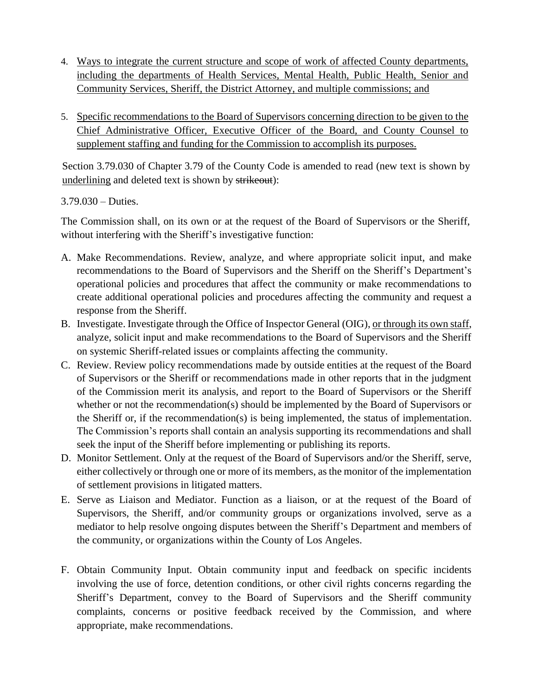- 4. Ways to integrate the current structure and scope of work of affected County departments, including the departments of Health Services, Mental Health, Public Health, Senior and Community Services, Sheriff, the District Attorney, and multiple commissions; and
- 5. Specific recommendations to the Board of Supervisors concerning direction to be given to the Chief Administrative Officer, Executive Officer of the Board, and County Counsel to supplement staffing and funding for the Commission to accomplish its purposes.

Section 3.79.030 of Chapter 3.79 of the County Code is amended to read (new text is shown by underlining and deleted text is shown by strikeout):

3.79.030 – Duties.

The Commission shall, on its own or at the request of the Board of Supervisors or the Sheriff, without interfering with the Sheriff's investigative function:

- A. Make Recommendations. Review, analyze, and where appropriate solicit input, and make recommendations to the Board of Supervisors and the Sheriff on the Sheriff's Department's operational policies and procedures that affect the community or make recommendations to create additional operational policies and procedures affecting the community and request a response from the Sheriff.
- B. Investigate. Investigate through the Office of Inspector General (OIG), or through its own staff, analyze, solicit input and make recommendations to the Board of Supervisors and the Sheriff on systemic Sheriff-related issues or complaints affecting the community.
- C. Review. Review policy recommendations made by outside entities at the request of the Board of Supervisors or the Sheriff or recommendations made in other reports that in the judgment of the Commission merit its analysis, and report to the Board of Supervisors or the Sheriff whether or not the recommendation(s) should be implemented by the Board of Supervisors or the Sheriff or, if the recommendation(s) is being implemented, the status of implementation. The Commission's reports shall contain an analysis supporting its recommendations and shall seek the input of the Sheriff before implementing or publishing its reports.
- D. Monitor Settlement. Only at the request of the Board of Supervisors and/or the Sheriff, serve, either collectively or through one or more of its members, as the monitor of the implementation of settlement provisions in litigated matters.
- E. Serve as Liaison and Mediator. Function as a liaison, or at the request of the Board of Supervisors, the Sheriff, and/or community groups or organizations involved, serve as a mediator to help resolve ongoing disputes between the Sheriff's Department and members of the community, or organizations within the County of Los Angeles.
- F. Obtain Community Input. Obtain community input and feedback on specific incidents involving the use of force, detention conditions, or other civil rights concerns regarding the Sheriff's Department, convey to the Board of Supervisors and the Sheriff community complaints, concerns or positive feedback received by the Commission, and where appropriate, make recommendations.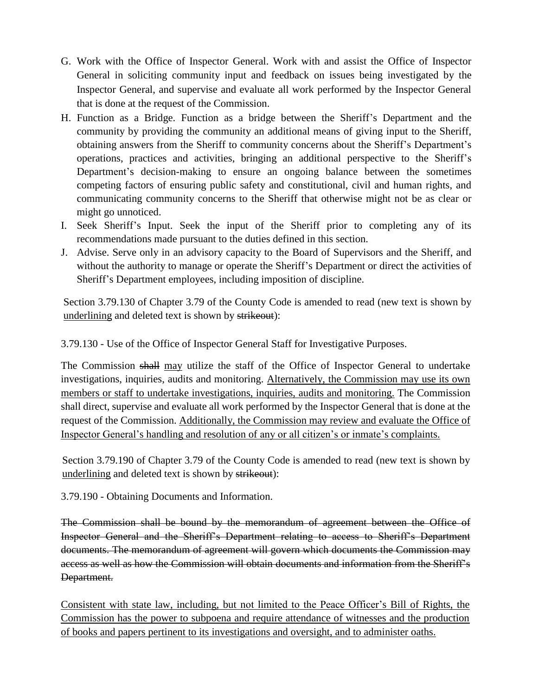- G. Work with the Office of Inspector General. Work with and assist the Office of Inspector General in soliciting community input and feedback on issues being investigated by the Inspector General, and supervise and evaluate all work performed by the Inspector General that is done at the request of the Commission.
- H. Function as a Bridge. Function as a bridge between the Sheriff's Department and the community by providing the community an additional means of giving input to the Sheriff, obtaining answers from the Sheriff to community concerns about the Sheriff's Department's operations, practices and activities, bringing an additional perspective to the Sheriff's Department's decision-making to ensure an ongoing balance between the sometimes competing factors of ensuring public safety and constitutional, civil and human rights, and communicating community concerns to the Sheriff that otherwise might not be as clear or might go unnoticed.
- I. Seek Sheriff's Input. Seek the input of the Sheriff prior to completing any of its recommendations made pursuant to the duties defined in this section.
- J. Advise. Serve only in an advisory capacity to the Board of Supervisors and the Sheriff, and without the authority to manage or operate the Sheriff's Department or direct the activities of Sheriff's Department employees, including imposition of discipline.

Section 3.79.130 of Chapter 3.79 of the County Code is amended to read (new text is shown by underlining and deleted text is shown by strikeout):

3.79.130 - Use of the Office of Inspector General Staff for Investigative Purposes.

The Commission shall may utilize the staff of the Office of Inspector General to undertake investigations, inquiries, audits and monitoring. Alternatively, the Commission may use its own members or staff to undertake investigations, inquiries, audits and monitoring. The Commission shall direct, supervise and evaluate all work performed by the Inspector General that is done at the request of the Commission. Additionally, the Commission may review and evaluate the Office of Inspector General's handling and resolution of any or all citizen's or inmate's complaints.

Section 3.79.190 of Chapter 3.79 of the County Code is amended to read (new text is shown by underlining and deleted text is shown by strikeout):

3.79.190 - Obtaining Documents and Information.

The Commission shall be bound by the memorandum of agreement between the Office of Inspector General and the Sheriff's Department relating to access to Sheriff's Department documents. The memorandum of agreement will govern which documents the Commission may access as well as how the Commission will obtain documents and information from the Sheriff's Department.

Consistent with state law, including, but not limited to the Peace Officer's Bill of Rights, the Commission has the power to subpoena and require attendance of witnesses and the production of books and papers pertinent to its investigations and oversight, and to administer oaths.